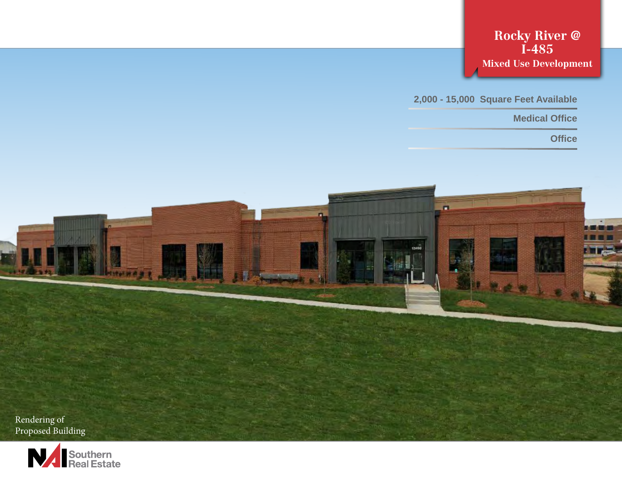**Rocky River @ I-485 Mixed Use Development**

**2,000 - 15,000 Square Feet Available**

**Medical Office**

**Office**

 $\blacksquare$ n a a c Rendering of Proposed Building

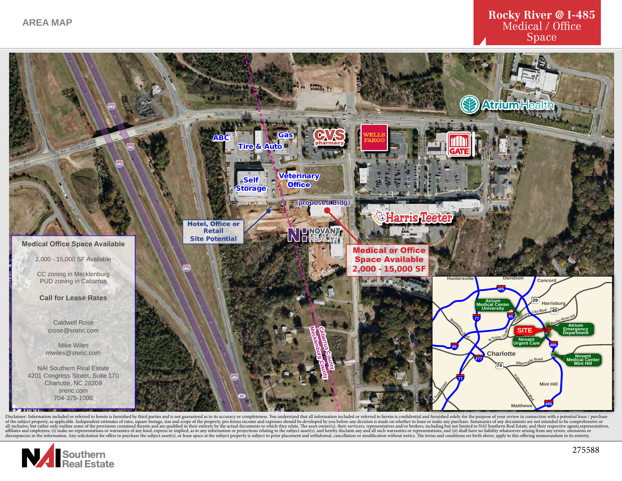## **Rocky River @ I-485** Medical / Office Space



Disclaimer: Information included or referal to herein is furnished by third parties and is one guanted as to is accuracy or completenes. You understand that all information included or referred to herein is furnished by th